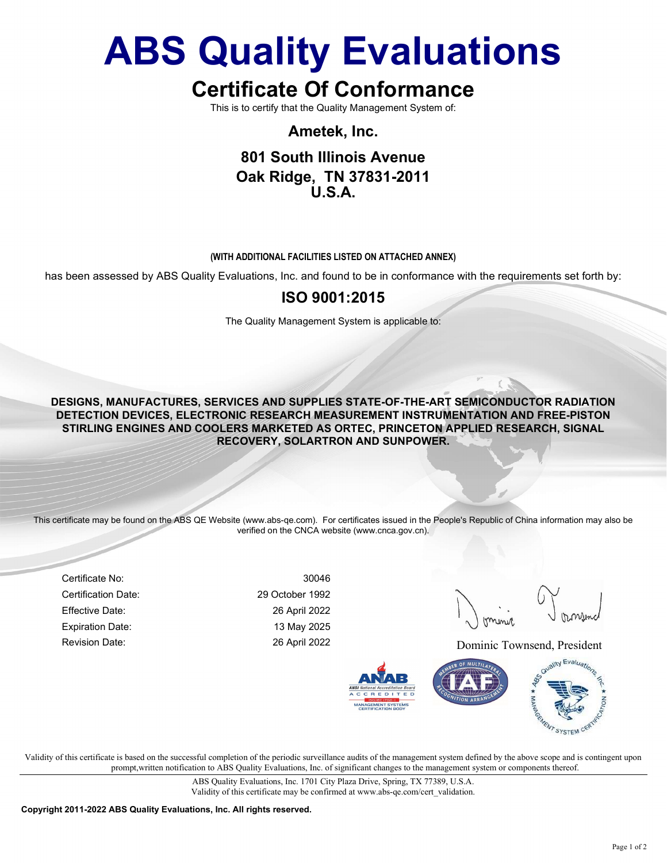# ABS Quality Evaluations

# Certificate Of Conformance

This is to certify that the Quality Management System of:

Ametek, Inc.

## 801 South Illinois Avenue Oak Ridge, TN 37831-2011  $I.S.A$

#### (WITH ADDITIONAL FACILITIES LISTED ON ATTACHED ANNEX)

has been assessed by ABS Quality Evaluations, Inc. and found to be in conformance with the requirements set forth by:

### ISO 9001:2015

The Quality Management System is applicable to:

DESIGNS, MANUFACTURES, SERVICES AND SUPPLIES STATE-OF-THE-ART SEMICONDUCTOR RADIATION DETECTION DEVICES, ELECTRONIC RESEARCH MEASUREMENT INSTRUMENTATION AND FREE-PISTON STIRLING ENGINES AND COOLERS MARKETED AS ORTEC, PRINCETON APPLIED RESEARCH, SIGNAL RECOVERY, SOLARTRON AND SUNPOWER.

This certificate may be found on the ABS QE Website (www.abs-qe.com). For certificates issued in the People's Republic of China information may also be verified on the CNCA website (www.cnca.gov.cn).

Certificate No: 30046 Certification Date: 29 October 1992 Effective Date: 26 April 2022 Expiration Date: 13 May 2025

Revision Date: 26 April 2022 26 April 2022 Dominic Townsend, President



Validity of this certificate is based on the successful completion of the periodic surveillance audits of the management system defined by the above scope and is contingent upon prompt,written notification to ABS Quality Evaluations, Inc. of significant changes to the management system or components thereof.

> ABS Quality Evaluations, Inc. 1701 City Plaza Drive, Spring, TX 77389, U.S.A. Validity of this certificate may be confirmed at www.abs-qe.com/cert\_validation.

Copyright 2011-2022 ABS Quality Evaluations, Inc. All rights reserved.